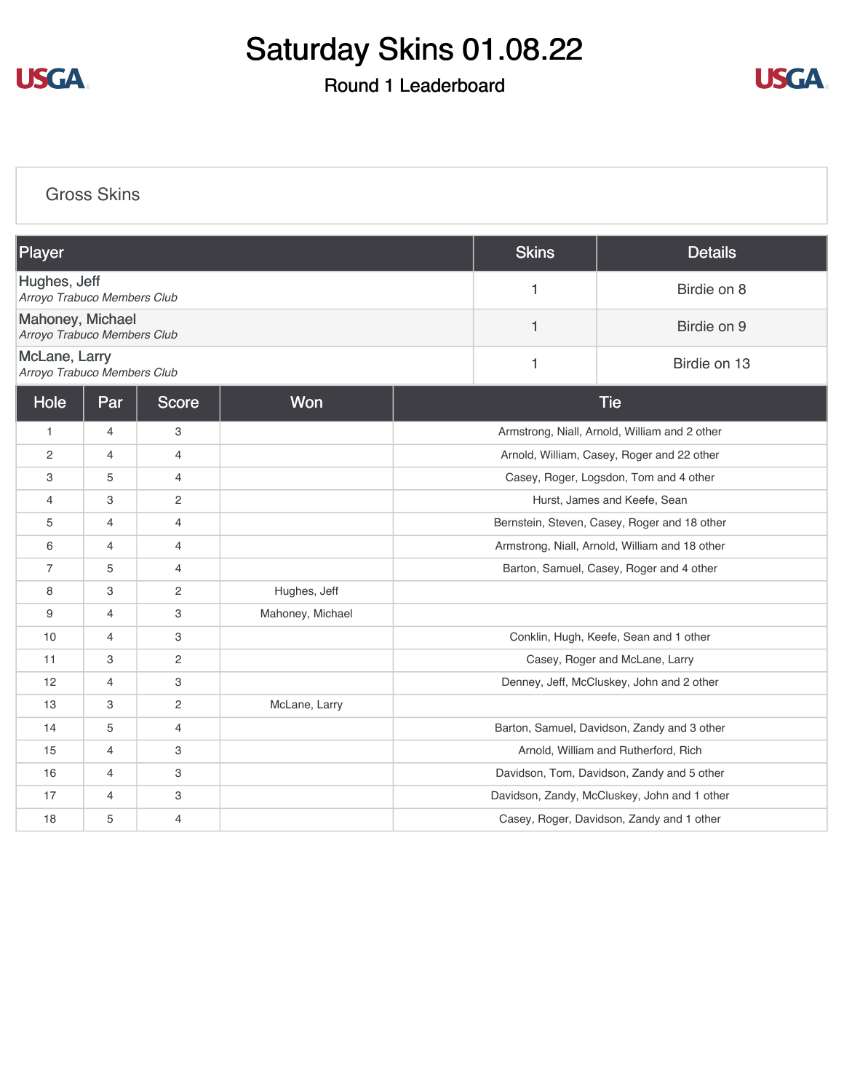

## Saturday Skins 01.08.22

## Round 1 Leaderboard



[Gross Skins](https://cdn2.golfgenius.com/v2tournaments/8109111179261009979?called_from=&round_index=1)

| Player                                          |                |                |                  | <b>Skins</b>                                   | <b>Details</b> |                                              |
|-------------------------------------------------|----------------|----------------|------------------|------------------------------------------------|----------------|----------------------------------------------|
| Hughes, Jeff<br>Arroyo Trabuco Members Club     |                |                |                  |                                                | 1              | Birdie on 8                                  |
| Mahoney, Michael<br>Arroyo Trabuco Members Club |                |                |                  |                                                | 1              | Birdie on 9                                  |
| McLane, Larry<br>Arroyo Trabuco Members Club    |                |                |                  |                                                | 1              | Birdie on 13                                 |
| Hole                                            | Par            | <b>Score</b>   | Won              | <b>Tie</b>                                     |                |                                              |
| $\mathbf{1}$                                    | $\overline{4}$ | 3              |                  | Armstrong, Niall, Arnold, William and 2 other  |                |                                              |
| 2                                               | $\overline{4}$ | $\overline{4}$ |                  | Arnold, William, Casey, Roger and 22 other     |                |                                              |
| 3                                               | 5              | $\overline{4}$ |                  | Casey, Roger, Logsdon, Tom and 4 other         |                |                                              |
| 4                                               | 3              | $\mathbf{2}$   |                  | Hurst, James and Keefe, Sean                   |                |                                              |
| 5                                               | $\overline{4}$ | $\overline{4}$ |                  | Bernstein, Steven, Casey, Roger and 18 other   |                |                                              |
| 6                                               | 4              | $\overline{4}$ |                  | Armstrong, Niall, Arnold, William and 18 other |                |                                              |
| $\overline{7}$                                  | 5              | $\overline{4}$ |                  | Barton, Samuel, Casey, Roger and 4 other       |                |                                              |
| 8                                               | 3              | $\mathbf{2}$   | Hughes, Jeff     |                                                |                |                                              |
| 9                                               | 4              | 3              | Mahoney, Michael |                                                |                |                                              |
| 10                                              | 4              | 3              |                  | Conklin, Hugh, Keefe, Sean and 1 other         |                |                                              |
| 11                                              | 3              | $\mathbf{2}$   |                  |                                                |                | Casey, Roger and McLane, Larry               |
| 12                                              | $\overline{4}$ | 3              |                  | Denney, Jeff, McCluskey, John and 2 other      |                |                                              |
| 13                                              | 3              | $\mathbf{2}$   | McLane, Larry    |                                                |                |                                              |
| 14                                              | 5              | $\overline{4}$ |                  |                                                |                | Barton, Samuel, Davidson, Zandy and 3 other  |
| 15                                              | $\overline{4}$ | 3              |                  |                                                |                | Arnold, William and Rutherford, Rich         |
| 16                                              | $\overline{4}$ | 3              |                  |                                                |                | Davidson, Tom, Davidson, Zandy and 5 other   |
| 17                                              | 4              | 3              |                  |                                                |                | Davidson, Zandy, McCluskey, John and 1 other |
| 18                                              | 5              | $\overline{4}$ |                  |                                                |                | Casey, Roger, Davidson, Zandy and 1 other    |